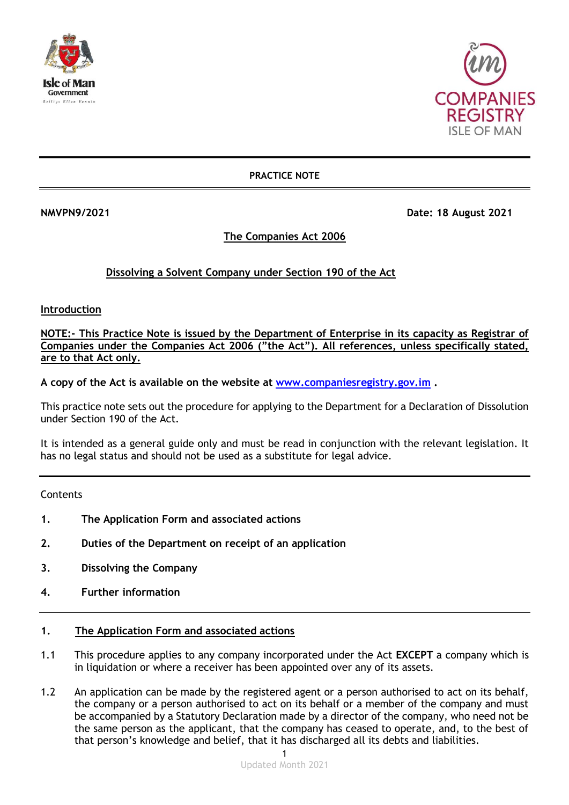



### **PRACTICE NOTE**

**NMVPN9/2021 Date: 18 August 2021** 

# **The Companies Act 2006**

# **Dissolving a Solvent Company under Section 190 of the Act**

**Introduction**

**NOTE:- This Practice Note is issued by the Department of Enterprise in its capacity as Registrar of Companies under the Companies Act 2006 ("the Act"). All references, unless specifically stated, are to that Act only.**

**A copy of the Act is available on the website at [www.companiesregistry.gov.im](http://www.companiesregistry.gov.im/) .**

This practice note sets out the procedure for applying to the Department for a Declaration of Dissolution under Section 190 of the Act.

It is intended as a general guide only and must be read in conjunction with the relevant legislation. It has no legal status and should not be used as a substitute for legal advice.

**Contents** 

- **1. The Application Form and associated actions**
- **2. Duties of the Department on receipt of an application**
- **3. Dissolving the Company**
- **4. Further information**

### **1. The Application Form and associated actions**

- 1.1 This procedure applies to any company incorporated under the Act **EXCEPT** a company which is in liquidation or where a receiver has been appointed over any of its assets.
- 1.2 An application can be made by the registered agent or a person authorised to act on its behalf, the company or a person authorised to act on its behalf or a member of the company and must be accompanied by a Statutory Declaration made by a director of the company, who need not be the same person as the applicant, that the company has ceased to operate, and, to the best of that person's knowledge and belief, that it has discharged all its debts and liabilities.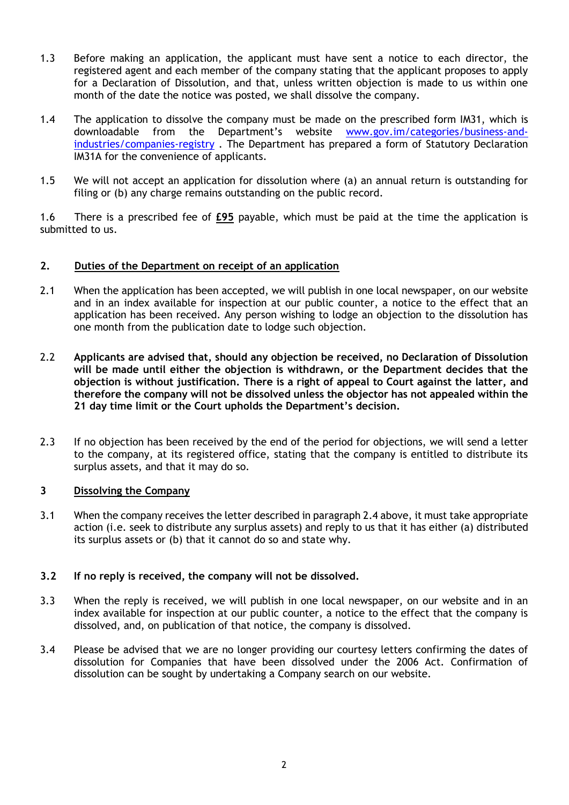- 1.3 Before making an application, the applicant must have sent a notice to each director, the registered agent and each member of the company stating that the applicant proposes to apply for a Declaration of Dissolution, and that, unless written objection is made to us within one month of the date the notice was posted, we shall dissolve the company.
- 1.4 The application to dissolve the company must be made on the prescribed form IM31, which is downloadable from the Department's website [www.gov.im/categories/business-and](http://www.gov.im/categories/business-and-industries/companies-registry)[industries/companies-registry](http://www.gov.im/categories/business-and-industries/companies-registry) . The Department has prepared a form of Statutory Declaration IM31A for the convenience of applicants.
- 1.5 We will not accept an application for dissolution where (a) an annual return is outstanding for filing or (b) any charge remains outstanding on the public record.

1.6 There is a prescribed fee of **£95** payable, which must be paid at the time the application is submitted to us.

### **2. Duties of the Department on receipt of an application**

- 2.1 When the application has been accepted, we will publish in one local newspaper, on our website and in an index available for inspection at our public counter, a notice to the effect that an application has been received. Any person wishing to lodge an objection to the dissolution has one month from the publication date to lodge such objection.
- 2.2 **Applicants are advised that, should any objection be received, no Declaration of Dissolution will be made until either the objection is withdrawn, or the Department decides that the objection is without justification. There is a right of appeal to Court against the latter, and therefore the company will not be dissolved unless the objector has not appealed within the 21 day time limit or the Court upholds the Department's decision.**
- 2.3 If no objection has been received by the end of the period for objections, we will send a letter to the company, at its registered office, stating that the company is entitled to distribute its surplus assets, and that it may do so.

#### **3 Dissolving the Company**

3.1 When the company receives the letter described in paragraph 2.4 above, it must take appropriate action (i.e. seek to distribute any surplus assets) and reply to us that it has either (a) distributed its surplus assets or (b) that it cannot do so and state why.

### **3.2 If no reply is received, the company will not be dissolved.**

- 3.3 When the reply is received, we will publish in one local newspaper, on our website and in an index available for inspection at our public counter, a notice to the effect that the company is dissolved, and, on publication of that notice, the company is dissolved.
- 3.4 Please be advised that we are no longer providing our courtesy letters confirming the dates of dissolution for Companies that have been dissolved under the 2006 Act. Confirmation of dissolution can be sought by undertaking a Company search on our website.